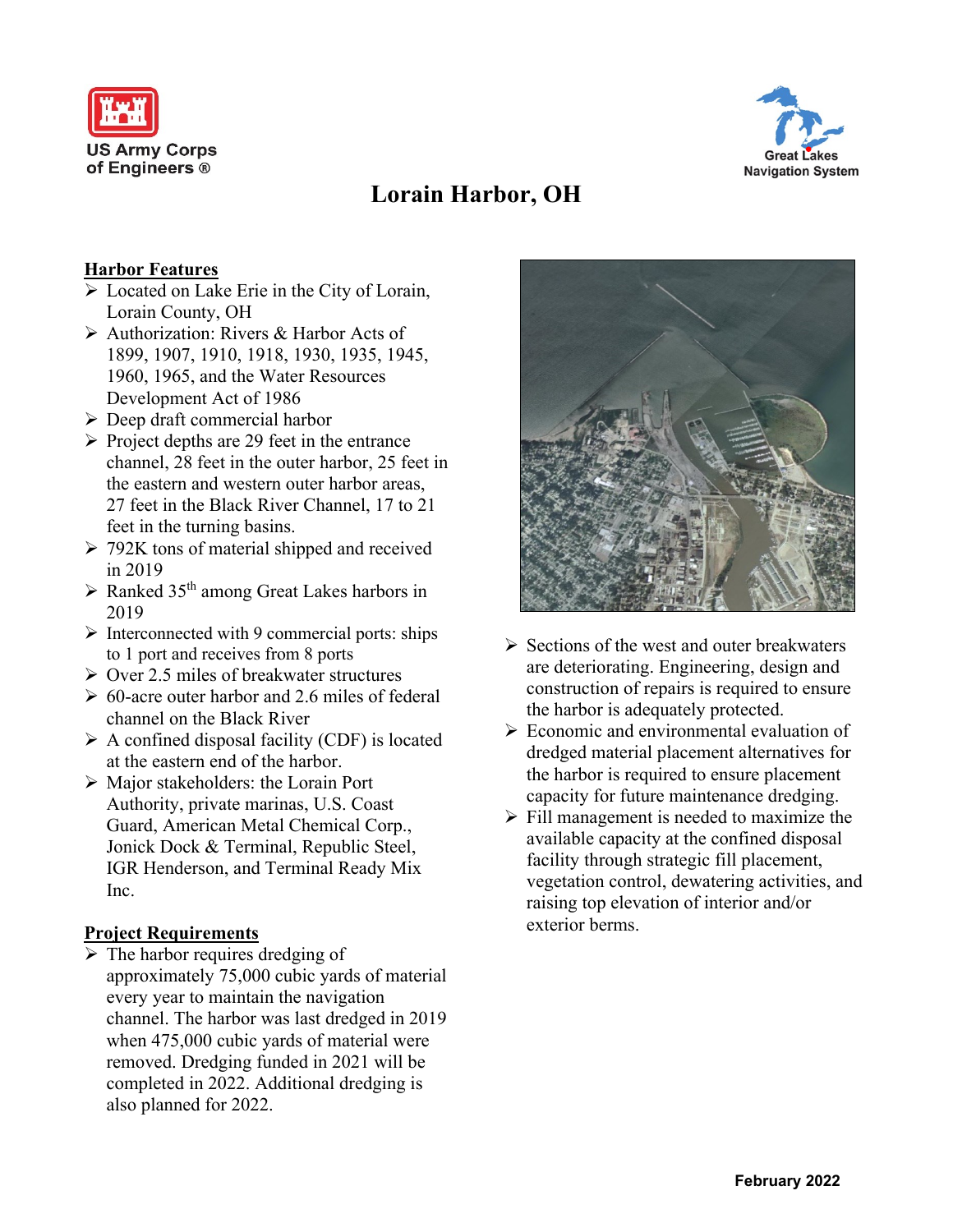



# **Lorain Harbor, OH**

## **Harbor Features**

- ➢ Located on Lake Erie in the City of Lorain, Lorain County, OH
- ➢ Authorization: Rivers & Harbor Acts of 1899, 1907, 1910, 1918, 1930, 1935, 1945, 1960, 1965, and the Water Resources Development Act of 1986
- ➢ Deep draft commercial harbor
- $\triangleright$  Project depths are 29 feet in the entrance channel, 28 feet in the outer harbor, 25 feet in the eastern and western outer harbor areas, 27 feet in the Black River Channel, 17 to 21 feet in the turning basins.
- $\geq$  792K tons of material shipped and received in 2019
- $\triangleright$  Ranked 35<sup>th</sup> among Great Lakes harbors in 2019
- $\triangleright$  Interconnected with 9 commercial ports: ships to 1 port and receives from 8 ports
- ➢ Over 2.5 miles of breakwater structures
- $\geq 60$ -acre outer harbor and 2.6 miles of federal channel on the Black River
- $\triangleright$  A confined disposal facility (CDF) is located at the eastern end of the harbor.
- ➢ Major stakeholders: the Lorain Port Authority, private marinas, U.S. Coast Guard, American Metal Chemical Corp., Jonick Dock & Terminal, Republic Steel, IGR Henderson, and Terminal Ready Mix Inc.

#### **Project Requirements**

 $\triangleright$  The harbor requires dredging of approximately 75,000 cubic yards of material every year to maintain the navigation channel. The harbor was last dredged in 2019 when 475,000 cubic yards of material were removed. Dredging funded in 2021 will be completed in 2022. Additional dredging is also planned for 2022.



- $\triangleright$  Sections of the west and outer breakwaters are deteriorating. Engineering, design and construction of repairs is required to ensure the harbor is adequately protected.
- $\triangleright$  Economic and environmental evaluation of dredged material placement alternatives for the harbor is required to ensure placement capacity for future maintenance dredging.
- $\triangleright$  Fill management is needed to maximize the available capacity at the confined disposal facility through strategic fill placement, vegetation control, dewatering activities, and raising top elevation of interior and/or exterior berms.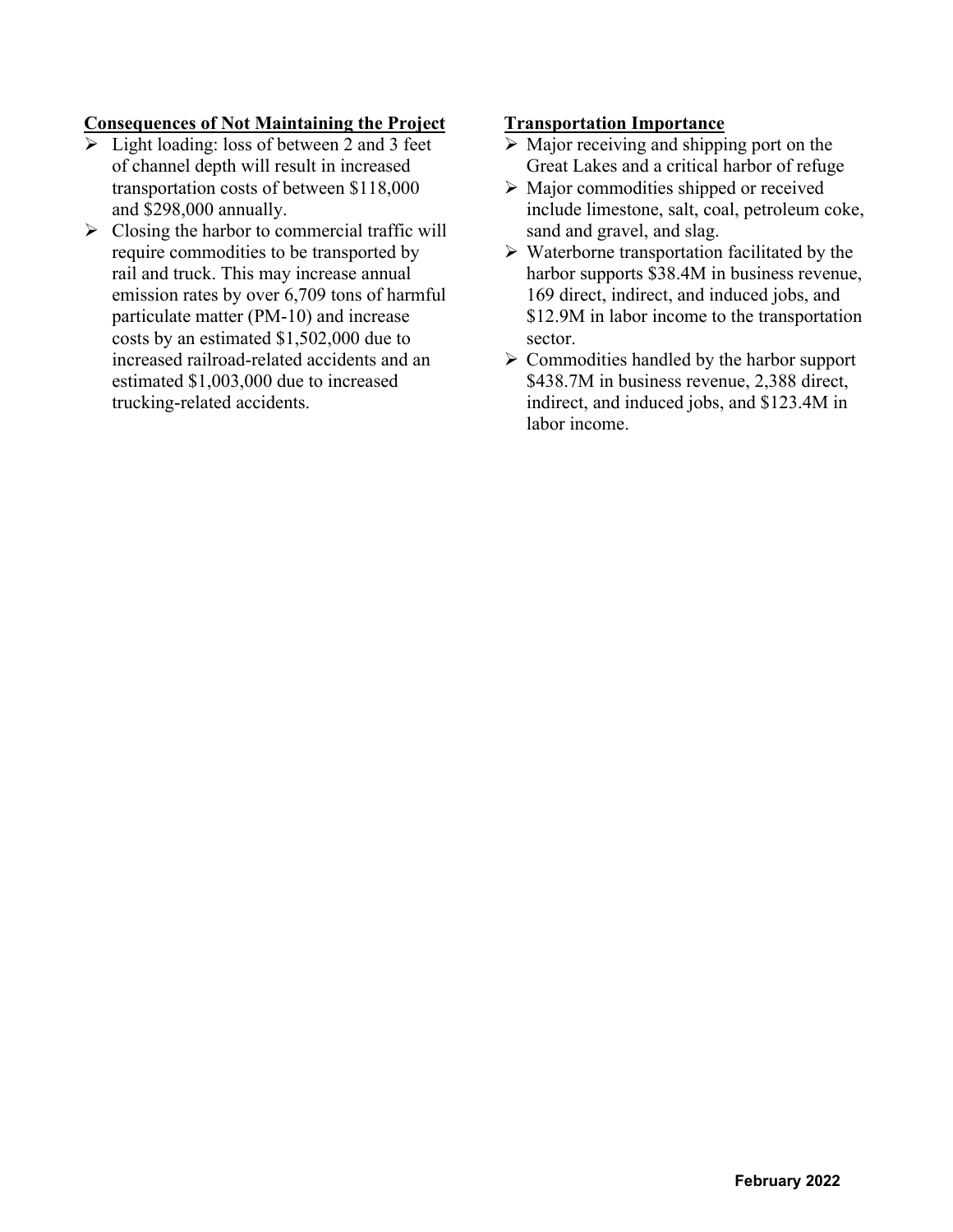# **Consequences of Not Maintaining the Project**

- $\triangleright$  Light loading: loss of between 2 and 3 feet of channel depth will result in increased transportation costs of between \$118,000 and \$298,000 annually.
- $\triangleright$  Closing the harbor to commercial traffic will require commodities to be transported by rail and truck. This may increase annual emission rates by over 6,709 tons of harmful particulate matter (PM-10) and increase costs by an estimated \$1,502,000 due to increased railroad-related accidents and an estimated \$1,003,000 due to increased trucking-related accidents.

#### **Transportation Importance**

- $\triangleright$  Major receiving and shipping port on the Great Lakes and a critical harbor of refuge
- ➢ Major commodities shipped or received include limestone, salt, coal, petroleum coke, sand and gravel, and slag.
- ➢ Waterborne transportation facilitated by the harbor supports \$38.4M in business revenue, 169 direct, indirect, and induced jobs, and \$12.9M in labor income to the transportation sector.
- $\triangleright$  Commodities handled by the harbor support \$438.7M in business revenue, 2,388 direct, indirect, and induced jobs, and \$123.4M in labor income.